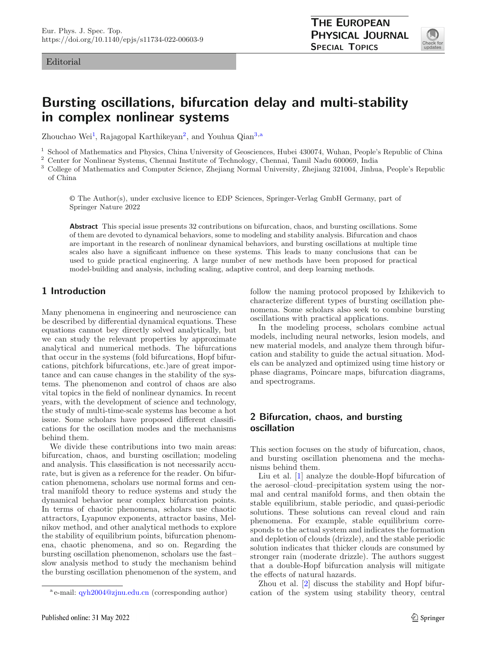#### Editorial

<span id="page-0-1"></span><span id="page-0-0"></span>

# **Bursting oscillations, bifurcation delay and multi-stability in complex nonlinear systems**

Zhouchao Wei<sup>[1](#page-0-0)</sup>, Rajagopal Karthikeyan<sup>[2](#page-0-0)</sup>, and Youhua Qian<sup>[3,](#page-0-1)a</sup>

<sup>1</sup> School of Mathematics and Physics, China University of Geosciences, Hubei 430074, Wuhan, People's Republic of China  $\frac{2}{5}$  Center for Negligean Systems. Channel Institute of Technology, Channel Tegril Negly 600060,

<sup>2</sup> Center for Nonlinear Systems, Chennai Institute of Technology, Chennai, Tamil Nadu 600069, India<br><sup>3</sup> Colloge of Mathematics and Computer Science, Zhojiang Normal University, Zhojiang 321004, Jinhu

<sup>3</sup> College of Mathematics and Computer Science, Zhejiang Normal University, Zhejiang 321004, Jinhua, People's Republic of China

© The Author(s), under exclusive licence to EDP Sciences, Springer-Verlag GmbH Germany, part of Springer Nature 2022

**Abstract** This special issue presents 32 contributions on bifurcation, chaos, and bursting oscillations. Some of them are devoted to dynamical behaviors, some to modeling and stability analysis. Bifurcation and chaos are important in the research of nonlinear dynamical behaviors, and bursting oscillations at multiple time scales also have a significant influence on these systems. This leads to many conclusions that can be used to guide practical engineering. A large number of new methods have been proposed for practical model-building and analysis, including scaling, adaptive control, and deep learning methods.

#### **1 Introduction**

Many phenomena in engineering and neuroscience can be described by differential dynamical equations. These equations cannot bey directly solved analytically, but we can study the relevant properties by approximate analytical and numerical methods. The bifurcations that occur in the systems (fold bifurcations, Hopf bifurcations, pitchfork bifurcations, etc.)are of great importance and can cause changes in the stability of the systems. The phenomenon and control of chaos are also vital topics in the field of nonlinear dynamics. In recent years, with the development of science and technology, the study of multi-time-scale systems has become a hot issue. Some scholars have proposed different classifications for the oscillation modes and the mechanisms behind them.

We divide these contributions into two main areas: bifurcation, chaos, and bursting oscillation; modeling and analysis. This classification is not necessarily accurate, but is given as a reference for the reader. On bifurcation phenomena, scholars use normal forms and central manifold theory to reduce systems and study the dynamical behavior near complex bifurcation points. In terms of chaotic phenomena, scholars use chaotic attractors, Lyapunov exponents, attractor basins, Melnikov method, and other analytical methods to explore the stability of equilibrium points, bifurcation phenomena, chaotic phenomena, and so on. Regarding the bursting oscillation phenomenon, scholars use the fast– slow analysis method to study the mechanism behind the bursting oscillation phenomenon of the system, and

Published online: 31 May 2022

follow the naming protocol proposed by Izhikevich to characterize different types of bursting oscillation phenomena. Some scholars also seek to combine bursting oscillations with practical applications.

In the modeling process, scholars combine actual models, including neural networks, lesion models, and new material models, and analyze them through bifurcation and stability to guide the actual situation. Models can be analyzed and optimized using time history or phase diagrams, Poincare maps, bifurcation diagrams, and spectrograms.

## **2 Bifurcation, chaos, and bursting oscillation**

This section focuses on the study of bifurcation, chaos, and bursting oscillation phenomena and the mechanisms behind them.

Liu et al. [\[1](#page-3-0)] analyze the double-Hopf bifurcation of the aerosol–cloud–precipitation system using the normal and central manifold forms, and then obtain the stable equilibrium, stable periodic, and quasi-periodic solutions. These solutions can reveal cloud and rain phenomena. For example, stable equilibrium corresponds to the actual system and indicates the formation and depletion of clouds (drizzle), and the stable periodic solution indicates that thicker clouds are consumed by stronger rain (moderate drizzle). The authors suggest that a double-Hopf bifurcation analysis will mitigate the effects of natural hazards.

Zhou et al. [\[2\]](#page-3-1) discuss the stability and Hopf bifurcation of the system using stability theory, central

<sup>a</sup> e-mail: [qyh2004@zjnu.edu.cn](mailto:qyh2004@zjnu.edu.cn) (corresponding author)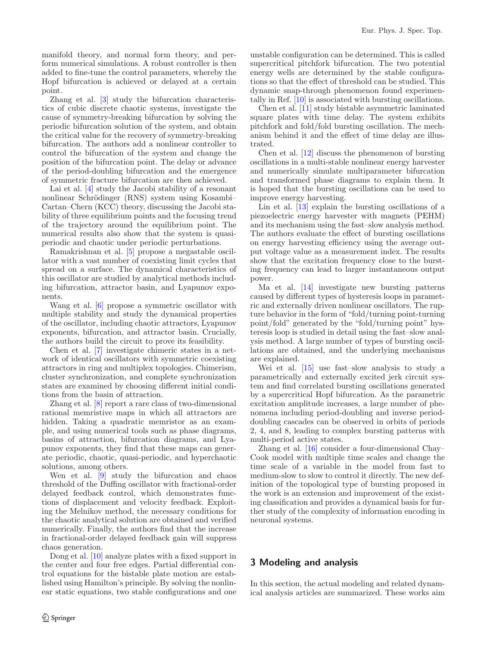manifold theory, and normal form theory, and perform numerical simulations. A robust controller is then added to fine-tune the control parameters, whereby the Hopf bifurcation is achieved or delayed at a certain point.

Zhang et al. [\[3](#page-3-2)] study the bifurcation characteristics of cubic discrete chaotic systems, investigate the cause of symmetry-breaking bifurcation by solving the periodic bifurcation solution of the system, and obtain the critical value for the recovery of symmetry-breaking bifurcation. The authors add a nonlinear controller to control the bifurcation of the system and change the position of the bifurcation point. The delay or advance of the period-doubling bifurcation and the emergence of symmetric fracture bifurcation are then achieved.

Lai et al. [\[4\]](#page-3-3) study the Jacobi stability of a resonant nonlinear Schrödinger (RNS) system using Kosambi-Cartan–Chern (KCC) theory, discussing the Jacobi stability of three equilibrium points and the focusing trend of the trajectory around the equilibrium point. The numerical results also show that the system is quasiperiodic and chaotic under periodic perturbations.

Ramakrishnan et al. [\[5](#page-3-4)] propose a megastable oscillator with a vast number of coexisting limit cycles that spread on a surface. The dynamical characteristics of this oscillator are studied by analytical methods including bifurcation, attractor basin, and Lyapunov exponents.

Wang et al. [\[6](#page-3-5)] propose a symmetric oscillator with multiple stability and study the dynamical properties of the oscillator, including chaotic attractors, Lyapunov exponents, bifurcation, and attractor basin. Crucially, the authors build the circuit to prove its feasibility.

Chen et al. [\[7\]](#page-3-6) investigate chimeric states in a network of identical oscillators with symmetric coexisting attractors in ring and multiplex topologies. Chimerism, cluster synchronization, and complete synchronization states are examined by choosing different initial conditions from the basin of attraction.

Zhang et al. [\[8\]](#page-3-7) report a rare class of two-dimensional rational memristive maps in which all attractors are hidden. Taking a quadratic memristor as an example, and using numerical tools such as phase diagrams, basins of attraction, bifurcation diagrams, and Lyapunov exponents, they find that these maps can generate periodic, chaotic, quasi-periodic, and hyperchaotic solutions, among others.

Wen et al. [\[9](#page-3-8)] study the bifurcation and chaos threshold of the Duffing oscillator with fractional-order delayed feedback control, which demonstrates functions of displacement and velocity feedback. Exploiting the Melnikov method, the necessary conditions for the chaotic analytical solution are obtained and verified numerically. Finally, the authors find that the increase in fractional-order delayed feedback gain will suppress chaos generation.

Dong et al. [\[10](#page-3-9)] analyze plates with a fixed support in the center and four free edges. Partial differential control equations for the bistable plate motion are established using Hamilton's principle. By solving the nonlinear static equations, two stable configurations and one unstable configuration can be determined. This is called supercritical pitchfork bifurcation. The two potential energy wells are determined by the stable configurations so that the effect of threshold can be studied. This dynamic snap-through phenomenon found experimentally in Ref. [\[10](#page-3-9)] is associated with bursting oscillations.

Chen et al. [\[11\]](#page-3-10) study bistable asymmetric laminated square plates with time delay. The system exhibits pitchfork and fold/fold bursting oscillation. The mechanism behind it and the effect of time delay are illustrated.

Chen et al. [\[12\]](#page-3-11) discuss the phenomenon of bursting oscillations in a multi-stable nonlinear energy harvester and numerically simulate multiparameter bifurcation and transformed phase diagrams to explain them. It is hoped that the bursting oscillations can be used to improve energy harvesting.

Lin et al. [\[13\]](#page-3-12) explain the bursting oscillations of a piezoelectric energy harvester with magnets (PEHM) and its mechanism using the fast–slow analysis method. The authors evaluate the effect of bursting oscillations on energy harvesting efficiency using the average output voltage value as a measurement index. The results show that the excitation frequency close to the bursting frequency can lead to larger instantaneous output power.

Ma et al. [\[14\]](#page-3-13) investigate new bursting patterns caused by different types of hysteresis loops in parametric and externally driven nonlinear oscillators. The rupture behavior in the form of "fold/turning point-turning point/fold" generated by the "fold/turning point" hysteresis loop is studied in detail using the fast–slow analysis method. A large number of types of bursting oscillations are obtained, and the underlying mechanisms are explained.

Wei et al. [\[15\]](#page-4-0) use fast–slow analysis to study a parametrically and externally excited jerk circuit system and find correlated bursting oscillations generated by a supercritical Hopf bifurcation. As the parametric excitation amplitude increases, a large number of phenomena including period-doubling and inverse perioddoubling cascades can be observed in orbits of periods 2, 4, and 8, leading to complex bursting patterns with multi-period active states.

Zhang et al. [\[16](#page-4-1)] consider a four-dimensional Chay– Cook model with multiple time scales and change the time scale of a variable in the model from fast to medium-slow to slow to control it directly. The new definition of the topological type of bursting proposed in the work is an extension and improvement of the existing classification and provides a dynamical basis for further study of the complexity of information encoding in neuronal systems.

## **3 Modeling and analysis**

In this section, the actual modeling and related dynamical analysis articles are summarized. These works aim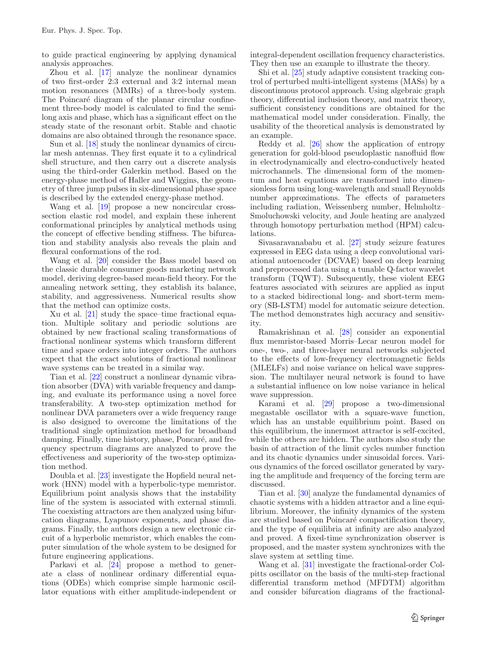to guide practical engineering by applying dynamical analysis approaches.

Zhou et al. [\[17\]](#page-4-2) analyze the nonlinear dynamics of two first-order 2:3 external and 3:2 internal mean motion resonances (MMRs) of a three-body system. The Poincaré diagram of the planar circular confinement three-body model is calculated to find the semilong axis and phase, which has a significant effect on the steady state of the resonant orbit. Stable and chaotic domains are also obtained through the resonance space.

Sun et al. [\[18\]](#page-4-3) study the nonlinear dynamics of circular mesh antennas. They first equate it to a cylindrical shell structure, and then carry out a discrete analysis using the third-order Galerkin method. Based on the energy-phase method of Haller and Wiggins, the geometry of three jump pulses in six-dimensional phase space is described by the extended energy-phase method.

Wang et al. [\[19](#page-4-4)] propose a new noncircular crosssection elastic rod model, and explain these inherent conformational principles by analytical methods using the concept of effective bending stiffness. The bifurcation and stability analysis also reveals the plain and flexural conformations of the rod.

Wang et al. [\[20](#page-4-5)] consider the Bass model based on the classic durable consumer goods marketing network model, deriving degree-based mean-field theory. For the annealing network setting, they establish its balance, stability, and aggressiveness. Numerical results show that the method can optimize costs.

Xu et al. [\[21\]](#page-4-6) study the space–time fractional equation. Multiple solitary and periodic solutions are obtained by new fractional scaling transformations of fractional nonlinear systems which transform different time and space orders into integer orders. The authors expect that the exact solutions of fractional nonlinear wave systems can be treated in a similar way.

Tian et al. [\[22](#page-4-7)] construct a nonlinear dynamic vibration absorber (DVA) with variable frequency and damping, and evaluate its performance using a novel force transferability. A two-step optimization method for nonlinear DVA parameters over a wide frequency range is also designed to overcome the limitations of the traditional single optimization method for broadband damping. Finally, time history, phase, Poncaré, and frequency spectrum diagrams are analyzed to prove the effectiveness and superiority of the two-step optimization method.

Doubla et al. [\[23](#page-4-8)] investigate the Hopfield neural network (HNN) model with a hyperbolic-type memristor. Equilibrium point analysis shows that the instability line of the system is associated with external stimuli. The coexisting attractors are then analyzed using bifurcation diagrams, Lyapunov exponents, and phase diagrams. Finally, the authors design a new electronic circuit of a hyperbolic memristor, which enables the computer simulation of the whole system to be designed for future engineering applications.

Parkavi et al. [\[24\]](#page-4-9) propose a method to generate a class of nonlinear ordinary differential equations (ODEs) which comprise simple harmonic oscillator equations with either amplitude-independent or

integral-dependent oscillation frequency characteristics. They then use an example to illustrate the theory.

Shi et al. [\[25\]](#page-4-10) study adaptive consistent tracking control of perturbed multi-intelligent systems (MASs) by a discontinuous protocol approach. Using algebraic graph theory, differential inclusion theory, and matrix theory, sufficient consistency conditions are obtained for the mathematical model under consideration. Finally, the usability of the theoretical analysis is demonstrated by an example.

Reddy et al. [\[26](#page-4-11)] show the application of entropy generation for gold-blood pseudoplastic nanofluid flow in electrodynamically and electro-conductively heated microchannels. The dimensional form of the momentum and heat equations are transformed into dimensionless form using long-wavelength and small Reynolds number approximations. The effects of parameters including radiation, Weissenberg number, Helmholtz– Smoluchowski velocity, and Joule heating are analyzed through homotopy perturbation method (HPM) calculations.

Sivasaravanababu et al. [\[27](#page-4-12)] study seizure features expressed in EEG data using a deep convolutional variational autoencoder (DCVAE) based on deep learning and preprocessed data using a tunable Q-factor wavelet transform (TQWT). Subsequently, these violent EEG features associated with seizures are applied as input to a stacked bidirectional long- and short-term memory (SB-LSTM) model for automatic seizure detection. The method demonstrates high accuracy and sensitivity.

Ramakrishnan et al. [\[28](#page-4-13)] consider an exponential flux memristor-based Morris–Lecar neuron model for one-, two-, and three-layer neural networks subjected to the effects of low-frequency electromagnetic fields (MLELFs) and noise variance on helical wave suppression. The multilayer neural network is found to have a substantial influence on low noise variance in helical wave suppression.

Karami et al. [\[29](#page-4-14)] propose a two-dimensional megastable oscillator with a square-wave function, which has an unstable equilibrium point. Based on this equilibrium, the innermost attractor is self-excited, while the others are hidden. The authors also study the basin of attraction of the limit cycles number function and its chaotic dynamics under sinusoidal forces. Various dynamics of the forced oscillator generated by varying the amplitude and frequency of the forcing term are discussed.

Tian et al. [\[30](#page-4-15)] analyze the fundamental dynamics of chaotic systems with a hidden attractor and a line equilibrium. Moreover, the infinity dynamics of the system are studied based on Poincaré compactification theory, and the type of equilibria at infinity are also analyzed and proved. A fixed-time synchronization observer is proposed, and the master system synchronizes with the slave system at settling time.

Wang et al. [\[31\]](#page-4-16) investigate the fractional-order Colpitts oscillator on the basis of the multi-step fractional differential transform method (MFDTM) algorithm and consider bifurcation diagrams of the fractional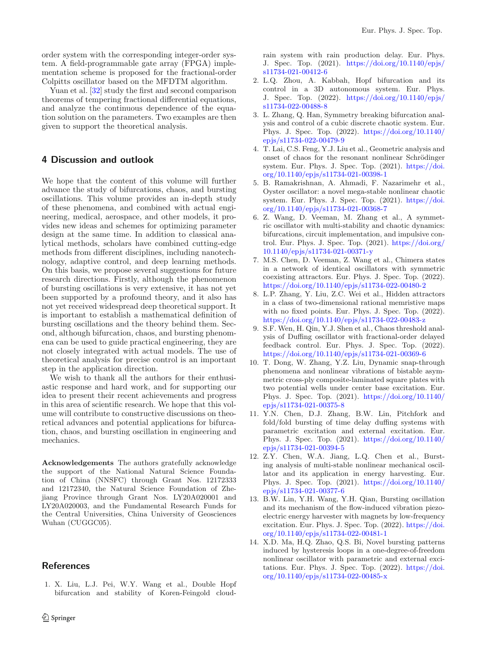order system with the corresponding integer-order system. A field-programmable gate array (FPGA) implementation scheme is proposed for the fractional-order Colpitts oscillator based on the MFDTM algorithm.

Yuan et al. [\[32](#page-4-17)] study the first and second comparison theorems of tempering fractional differential equations, and analyze the continuous dependence of the equation solution on the parameters. Two examples are then given to support the theoretical analysis.

## **4 Discussion and outlook**

We hope that the content of this volume will further advance the study of bifurcations, chaos, and bursting oscillations. This volume provides an in-depth study of these phenomena, and combined with actual engineering, medical, aerospace, and other models, it provides new ideas and schemes for optimizing parameter design at the same time. In addition to classical analytical methods, scholars have combined cutting-edge methods from different disciplines, including nanotechnology, adaptive control, and deep learning methods. On this basis, we propose several suggestions for future research directions. Firstly, although the phenomenon of bursting oscillations is very extensive, it has not yet been supported by a profound theory, and it also has not yet received widespread deep theoretical support. It is important to establish a mathematical definition of bursting oscillations and the theory behind them. Second, although bifurcation, chaos, and bursting phenomena can be used to guide practical engineering, they are not closely integrated with actual models. The use of theoretical analysis for precise control is an important step in the application direction.

We wish to thank all the authors for their enthusiastic response and hard work, and for supporting our idea to present their recent achievements and progress in this area of scientific research. We hope that this volume will contribute to constructive discussions on theoretical advances and potential applications for bifurcation, chaos, and bursting oscillation in engineering and mechanics.

**Acknowledgements** The authors gratefully acknowledge the support of the National Natural Science Foundation of China (NNSFC) through Grant Nos. 12172333 and 12172340, the Natural Science Foundation of Zhejiang Province through Grant Nos. LY20A020001 and LY20A020003, and the Fundamental Research Funds for the Central Universities, China University of Geosciences Wuhan (CUGGC05).

#### **References**

<span id="page-3-0"></span>1. X. Liu, L.J. Pei, W.Y. Wang et al., Double Hopf bifurcation and stability of Koren-Feingold cloudrain system with rain production delay. Eur. Phys. J. Spec. Top. (2021). [https://doi.org/10.1140/epjs/](https://doi.org/10.1140/epjs/s11734-021-00412-6) [s11734-021-00412-6](https://doi.org/10.1140/epjs/s11734-021-00412-6)

- <span id="page-3-1"></span>2. L.Q. Zhou, A. Kabbah, Hopf bifurcation and its control in a 3D autonomous system. Eur. Phys. J. Spec. Top. (2022). [https://doi.org/10.1140/epjs/](https://doi.org/10.1140/epjs/s11734-022-00488-8) [s11734-022-00488-8](https://doi.org/10.1140/epjs/s11734-022-00488-8)
- <span id="page-3-2"></span>3. L. Zhang, Q. Han, Symmetry breaking bifurcation analysis and control of a cubic discrete chaotic system. Eur. Phys. J. Spec. Top. (2022). [https://doi.org/10.1140/](https://doi.org/10.1140/epjs/s11734-022-00479-9) [epjs/s11734-022-00479-9](https://doi.org/10.1140/epjs/s11734-022-00479-9)
- <span id="page-3-3"></span>4. T. Lai, C.S. Feng, Y.J. Liu et al., Geometric analysis and onset of chaos for the resonant nonlinear Schrödinger system. Eur. Phys. J. Spec. Top. (2021). [https://doi.](https://doi.org/10.1140/epjs/s11734-021-00398-1) [org/10.1140/epjs/s11734-021-00398-1](https://doi.org/10.1140/epjs/s11734-021-00398-1)
- <span id="page-3-4"></span>5. B. Ramakrishnan, A. Ahmadi, F. Nazarimehr et al., Oyster oscillator: a novel mega-stable nonlinear chaotic system. Eur. Phys. J. Spec. Top. (2021). [https://doi.](https://doi.org/10.1140/epjs/s11734-021-00368-7) [org/10.1140/epjs/s11734-021-00368-7](https://doi.org/10.1140/epjs/s11734-021-00368-7)
- <span id="page-3-5"></span>6. Z. Wang, D. Veeman, M. Zhang et al., A symmetric oscillator with multi-stability and chaotic dynamics: bifurcations, circuit implementation, and impulsive control. Eur. Phys. J. Spec. Top. (2021). [https://doi.org/](https://doi.org/10.1140/epjs/s11734-021-00371-y) [10.1140/epjs/s11734-021-00371-y](https://doi.org/10.1140/epjs/s11734-021-00371-y)
- <span id="page-3-6"></span>7. M.S. Chen, D. Veeman, Z. Wang et al., Chimera states in a network of identical oscillators with symmetric coexisting attractors. Eur. Phys. J. Spec. Top. (2022). <https://doi.org/10.1140/epjs/s11734-022-00480-2>
- <span id="page-3-7"></span>8. L.P. Zhang, Y. Liu, Z.C. Wei et al., Hidden attractors in a class of two-dimensional rational memristive maps with no fixed points. Eur. Phys. J. Spec. Top. (2022). <https://doi.org/10.1140/epjs/s11734-022-00483-z>
- <span id="page-3-8"></span>9. S.F. Wen, H. Qin, Y.J. Shen et al., Chaos threshold analysis of Duffing oscillator with fractional-order delayed feedback control. Eur. Phys. J. Spec. Top. (2022). <https://doi.org/10.1140/epjs/s11734-021-00369-6>
- <span id="page-3-9"></span>10. T. Dong, W. Zhang, Y.Z. Liu, Dynamic snap-through phenomena and nonlinear vibrations of bistable asymmetric cross-ply composite-laminated square plates with two potential wells under center base excitation. Eur. Phys. J. Spec. Top. (2021). [https://doi.org/10.1140/](https://doi.org/10.1140/epjs/s11734-021-00375-8) [epjs/s11734-021-00375-8](https://doi.org/10.1140/epjs/s11734-021-00375-8)
- <span id="page-3-10"></span>11. Y.N. Chen, D.J. Zhang, B.W. Lin, Pitchfork and fold/fold bursting of time delay duffing systems with parametric excitation and external excitation. Eur. Phys. J. Spec. Top. (2021). [https://doi.org/10.1140/](https://doi.org/10.1140/epjs/s11734-021-00394-5) [epjs/s11734-021-00394-5](https://doi.org/10.1140/epjs/s11734-021-00394-5)
- <span id="page-3-11"></span>12. Z.Y. Chen, W.A. Jiang, L.Q. Chen et al., Bursting analysis of multi-stable nonlinear mechanical oscillator and its application in energy harvesting. Eur. Phys. J. Spec. Top. (2021). [https://doi.org/10.1140/](https://doi.org/10.1140/epjs/s11734-021-00377-6) [epjs/s11734-021-00377-6](https://doi.org/10.1140/epjs/s11734-021-00377-6)
- <span id="page-3-12"></span>13. B.W. Lin, Y.H. Wang, Y.H. Qian, Bursting oscillation and its mechanism of the flow-induced vibration piezoelectric energy harvester with magnets by low-frequency excitation. Eur. Phys. J. Spec. Top. (2022). [https://doi.](https://doi.org/10.1140/epjs/s11734-022-00481-1) [org/10.1140/epjs/s11734-022-00481-1](https://doi.org/10.1140/epjs/s11734-022-00481-1)
- <span id="page-3-13"></span>14. X.D. Ma, H.Q. Zhao, Q.S. Bi, Novel bursting patterns induced by hysteresis loops in a one-degree-of-freedom nonlinear oscillator with parametric and external excitations. Eur. Phys. J. Spec. Top. (2022). [https://doi.](https://doi.org/10.1140/epjs/s11734-022-00485-x) [org/10.1140/epjs/s11734-022-00485-x](https://doi.org/10.1140/epjs/s11734-022-00485-x)